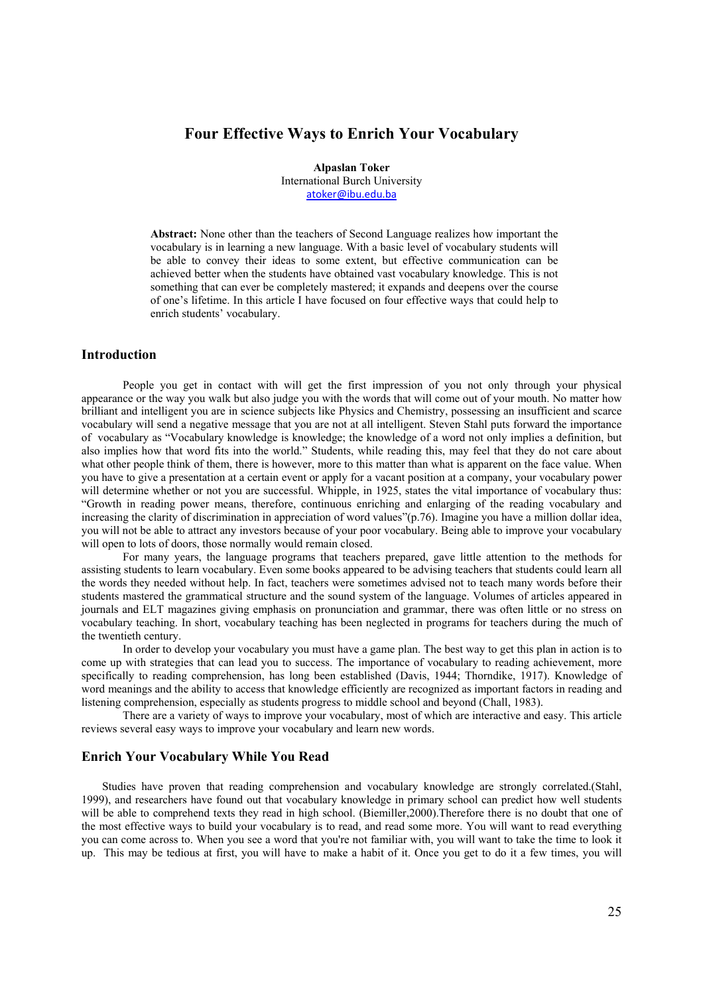# **Four Effective Ways to Enrich Your Vocabulary**

**Alpaslan Toker**  International Burch University atoker@ibu.edu.ba

**Abstract:** None other than the teachers of Second Language realizes how important the vocabulary is in learning a new language. With a basic level of vocabulary students will be able to convey their ideas to some extent, but effective communication can be achieved better when the students have obtained vast vocabulary knowledge. This is not something that can ever be completely mastered; it expands and deepens over the course of one's lifetime. In this article I have focused on four effective ways that could help to enrich students' vocabulary.

## **Introduction**

People you get in contact with will get the first impression of you not only through your physical appearance or the way you walk but also judge you with the words that will come out of your mouth. No matter how brilliant and intelligent you are in science subjects like Physics and Chemistry, possessing an insufficient and scarce vocabulary will send a negative message that you are not at all intelligent. Steven Stahl puts forward the importance of vocabulary as "Vocabulary knowledge is knowledge; the knowledge of a word not only implies a definition, but also implies how that word fits into the world." Students, while reading this, may feel that they do not care about what other people think of them, there is however, more to this matter than what is apparent on the face value. When you have to give a presentation at a certain event or apply for a vacant position at a company, your vocabulary power will determine whether or not you are successful. Whipple, in 1925, states the vital importance of vocabulary thus: "Growth in reading power means, therefore, continuous enriching and enlarging of the reading vocabulary and increasing the clarity of discrimination in appreciation of word values"(p.76). Imagine you have a million dollar idea, you will not be able to attract any investors because of your poor vocabulary. Being able to improve your vocabulary will open to lots of doors, those normally would remain closed.

For many years, the language programs that teachers prepared, gave little attention to the methods for assisting students to learn vocabulary. Even some books appeared to be advising teachers that students could learn all the words they needed without help. In fact, teachers were sometimes advised not to teach many words before their students mastered the grammatical structure and the sound system of the language. Volumes of articles appeared in journals and ELT magazines giving emphasis on pronunciation and grammar, there was often little or no stress on vocabulary teaching. In short, vocabulary teaching has been neglected in programs for teachers during the much of the twentieth century.

In order to develop your vocabulary you must have a game plan. The best way to get this plan in action is to come up with strategies that can lead you to success. The importance of vocabulary to reading achievement, more specifically to reading comprehension, has long been established (Davis, 1944; Thorndike, 1917). Knowledge of word meanings and the ability to access that knowledge efficiently are recognized as important factors in reading and listening comprehension, especially as students progress to middle school and beyond (Chall, 1983).

There are a variety of ways to improve your vocabulary, most of which are interactive and easy. This article reviews several easy ways to improve your vocabulary and learn new words.

## **Enrich Your Vocabulary While You Read**

Studies have proven that reading comprehension and vocabulary knowledge are strongly correlated.(Stahl, 1999), and researchers have found out that vocabulary knowledge in primary school can predict how well students will be able to comprehend texts they read in high school. (Biemiller, 2000). Therefore there is no doubt that one of the most effective ways to build your vocabulary is to read, and read some more. You will want to read everything you can come across to. When you see a word that you're not familiar with, you will want to take the time to look it up. This may be tedious at first, you will have to make a habit of it. Once you get to do it a few times, you will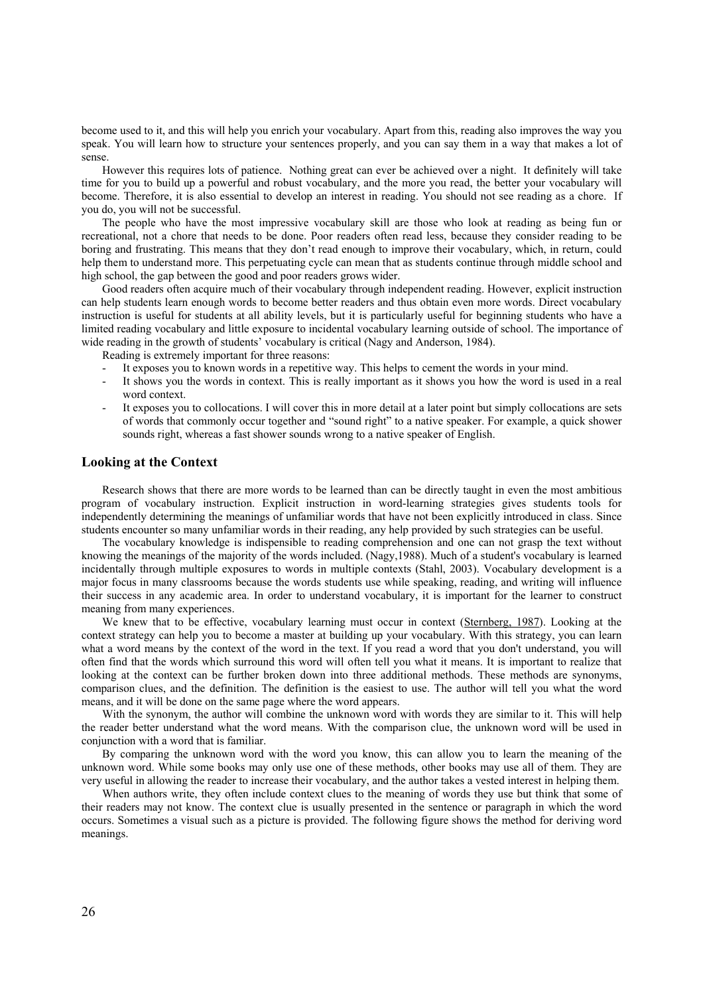become used to it, and this will help you enrich your vocabulary. Apart from this, reading also improves the way you speak. You will learn how to structure your sentences properly, and you can say them in a way that makes a lot of sense.

However this requires lots of patience. Nothing great can ever be achieved over a night. It definitely will take time for you to build up a powerful and robust vocabulary, and the more you read, the better your vocabulary will become. Therefore, it is also essential to develop an interest in reading. You should not see reading as a chore. If you do, you will not be successful.

The people who have the most impressive vocabulary skill are those who look at reading as being fun or recreational, not a chore that needs to be done. Poor readers often read less, because they consider reading to be boring and frustrating. This means that they don't read enough to improve their vocabulary, which, in return, could help them to understand more. This perpetuating cycle can mean that as students continue through middle school and high school, the gap between the good and poor readers grows wider.

Good readers often acquire much of their vocabulary through independent reading. However, explicit instruction can help students learn enough words to become better readers and thus obtain even more words. Direct vocabulary instruction is useful for students at all ability levels, but it is particularly useful for beginning students who have a limited reading vocabulary and little exposure to incidental vocabulary learning outside of school. The importance of wide reading in the growth of students' vocabulary is critical (Nagy and Anderson, 1984).

Reading is extremely important for three reasons:

- It exposes you to known words in a repetitive way. This helps to cement the words in your mind.
- It shows you the words in context. This is really important as it shows you how the word is used in a real word context.
- It exposes you to collocations. I will cover this in more detail at a later point but simply collocations are sets of words that commonly occur together and "sound right" to a native speaker. For example, a quick shower sounds right, whereas a fast shower sounds wrong to a native speaker of English.

### **Looking at the Context**

Research shows that there are more words to be learned than can be directly taught in even the most ambitious program of vocabulary instruction. Explicit instruction in word-learning strategies gives students tools for independently determining the meanings of unfamiliar words that have not been explicitly introduced in class. Since students encounter so many unfamiliar words in their reading, any help provided by such strategies can be useful.

The vocabulary knowledge is indispensible to reading comprehension and one can not grasp the text without knowing the meanings of the majority of the words included. (Nagy,1988). Much of a student's vocabulary is learned incidentally through multiple exposures to words in multiple contexts (Stahl, 2003). Vocabulary development is a major focus in many classrooms because the words students use while speaking, reading, and writing will influence their success in any academic area. In order to understand vocabulary, it is important for the learner to construct meaning from many experiences.

We knew that to be effective, vocabulary learning must occur in context (Sternberg, 1987). Looking at the context strategy can help you to become a master at building up your vocabulary. With this strategy, you can learn what a word means by the context of the word in the text. If you read a word that you don't understand, you will often find that the words which surround this word will often tell you what it means. It is important to realize that looking at the context can be further broken down into three additional methods. These methods are synonyms, comparison clues, and the definition. The definition is the easiest to use. The author will tell you what the word means, and it will be done on the same page where the word appears.

With the synonym, the author will combine the unknown word with words they are similar to it. This will help the reader better understand what the word means. With the comparison clue, the unknown word will be used in conjunction with a word that is familiar.

By comparing the unknown word with the word you know, this can allow you to learn the meaning of the unknown word. While some books may only use one of these methods, other books may use all of them. They are very useful in allowing the reader to increase their vocabulary, and the author takes a vested interest in helping them.

When authors write, they often include context clues to the meaning of words they use but think that some of their readers may not know. The context clue is usually presented in the sentence or paragraph in which the word occurs. Sometimes a visual such as a picture is provided. The following figure shows the method for deriving word meanings.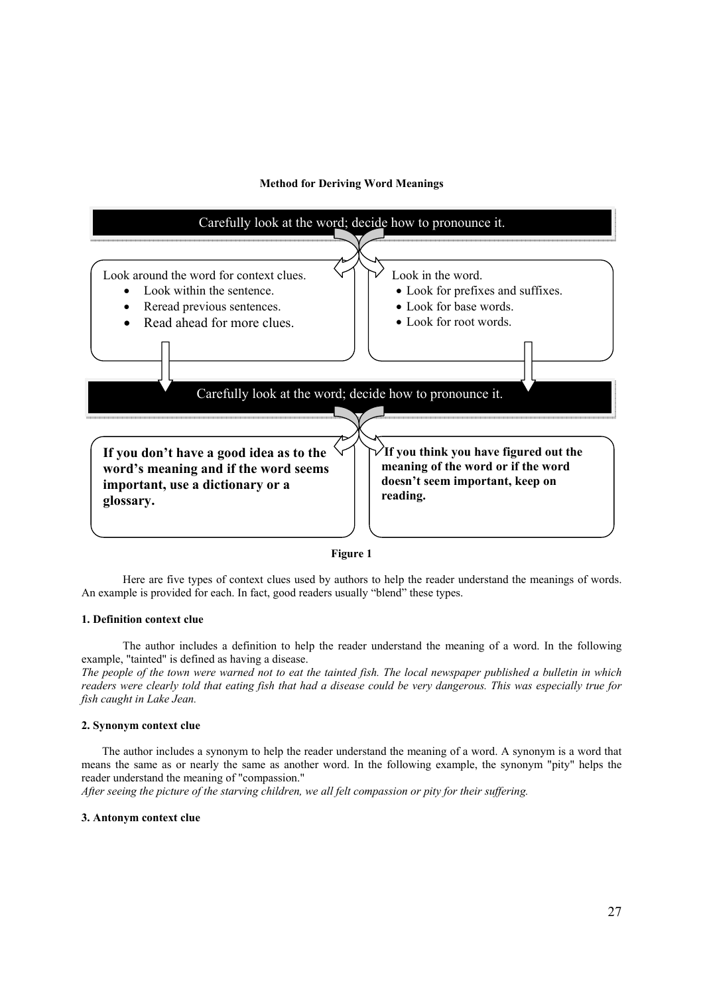### **Method for Deriving Word Meanings**



#### **Figure 1**

Here are five types of context clues used by authors to help the reader understand the meanings of words. An example is provided for each. In fact, good readers usually "blend" these types.

### **1. Definition context clue**

The author includes a definition to help the reader understand the meaning of a word. In the following example, "tainted" is defined as having a disease.

*The people of the town were warned not to eat the tainted fish. The local newspaper published a bulletin in which readers were clearly told that eating fish that had a disease could be very dangerous. This was especially true for fish caught in Lake Jean.* 

#### **2. Synonym context clue**

The author includes a synonym to help the reader understand the meaning of a word. A synonym is a word that means the same as or nearly the same as another word. In the following example, the synonym "pity" helps the reader understand the meaning of "compassion."

*After seeing the picture of the starving children, we all felt compassion or pity for their suffering.*

#### **3. Antonym context clue**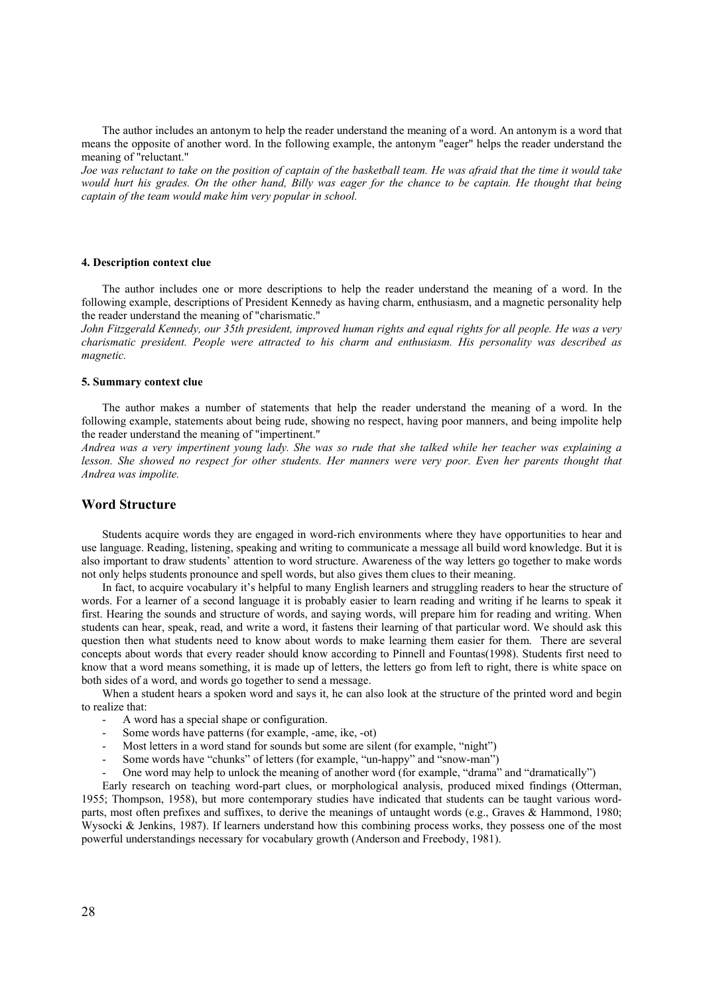The author includes an antonym to help the reader understand the meaning of a word. An antonym is a word that means the opposite of another word. In the following example, the antonym "eager" helps the reader understand the meaning of "reluctant."

*Joe was reluctant to take on the position of captain of the basketball team. He was afraid that the time it would take would hurt his grades. On the other hand, Billy was eager for the chance to be captain. He thought that being captain of the team would make him very popular in school.*

#### **4. Description context clue**

The author includes one or more descriptions to help the reader understand the meaning of a word. In the following example, descriptions of President Kennedy as having charm, enthusiasm, and a magnetic personality help the reader understand the meaning of "charismatic."

*John Fitzgerald Kennedy, our 35th president, improved human rights and equal rights for all people. He was a very charismatic president. People were attracted to his charm and enthusiasm. His personality was described as magnetic.* 

#### **5. Summary context clue**

The author makes a number of statements that help the reader understand the meaning of a word. In the following example, statements about being rude, showing no respect, having poor manners, and being impolite help the reader understand the meaning of "impertinent."

*Andrea was a very impertinent young lady. She was so rude that she talked while her teacher was explaining a lesson. She showed no respect for other students. Her manners were very poor. Even her parents thought that Andrea was impolite.*

#### **Word Structure**

Students acquire words they are engaged in word-rich environments where they have opportunities to hear and use language. Reading, listening, speaking and writing to communicate a message all build word knowledge. But it is also important to draw students' attention to word structure. Awareness of the way letters go together to make words not only helps students pronounce and spell words, but also gives them clues to their meaning.

In fact, to acquire vocabulary it's helpful to many English learners and struggling readers to hear the structure of words. For a learner of a second language it is probably easier to learn reading and writing if he learns to speak it first. Hearing the sounds and structure of words, and saying words, will prepare him for reading and writing. When students can hear, speak, read, and write a word, it fastens their learning of that particular word. We should ask this question then what students need to know about words to make learning them easier for them. There are several concepts about words that every reader should know according to Pinnell and Fountas(1998). Students first need to know that a word means something, it is made up of letters, the letters go from left to right, there is white space on both sides of a word, and words go together to send a message.

When a student hears a spoken word and says it, he can also look at the structure of the printed word and begin to realize that:

- A word has a special shape or configuration.
- Some words have patterns (for example, -ame, ike, -ot)
- Most letters in a word stand for sounds but some are silent (for example, "night")
- Some words have "chunks" of letters (for example, "un-happy" and "snow-man")
- One word may help to unlock the meaning of another word (for example, "drama" and "dramatically")

Early research on teaching word-part clues, or morphological analysis, produced mixed findings (Otterman, 1955; Thompson, 1958), but more contemporary studies have indicated that students can be taught various wordparts, most often prefixes and suffixes, to derive the meanings of untaught words (e.g., Graves & Hammond, 1980; Wysocki & Jenkins, 1987). If learners understand how this combining process works, they possess one of the most powerful understandings necessary for vocabulary growth (Anderson and Freebody, 1981).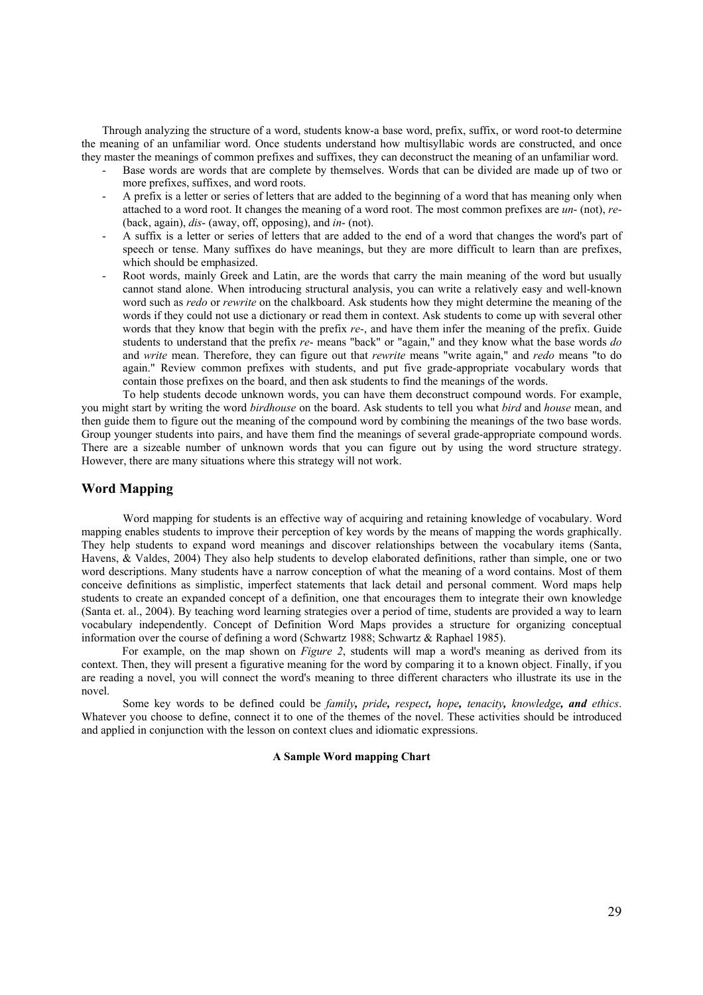Through analyzing the structure of a word, students know-a base word, prefix, suffix, or word root-to determine the meaning of an unfamiliar word. Once students understand how multisyllabic words are constructed, and once they master the meanings of common prefixes and suffixes, they can deconstruct the meaning of an unfamiliar word.

- Base words are words that are complete by themselves. Words that can be divided are made up of two or more prefixes, suffixes, and word roots.
- A prefix is a letter or series of letters that are added to the beginning of a word that has meaning only when attached to a word root. It changes the meaning of a word root. The most common prefixes are *un*- (not), *re*- (back, again), *dis*- (away, off, opposing), and *in*- (not).
- A suffix is a letter or series of letters that are added to the end of a word that changes the word's part of speech or tense. Many suffixes do have meanings, but they are more difficult to learn than are prefixes, which should be emphasized.
- Root words, mainly Greek and Latin, are the words that carry the main meaning of the word but usually cannot stand alone. When introducing structural analysis, you can write a relatively easy and well-known word such as *redo* or *rewrite* on the chalkboard. Ask students how they might determine the meaning of the words if they could not use a dictionary or read them in context. Ask students to come up with several other words that they know that begin with the prefix *re*-, and have them infer the meaning of the prefix. Guide students to understand that the prefix *re*- means "back" or "again," and they know what the base words *do* and *write* mean. Therefore, they can figure out that *rewrite* means "write again," and *redo* means "to do again." Review common prefixes with students, and put five grade-appropriate vocabulary words that contain those prefixes on the board, and then ask students to find the meanings of the words.

To help students decode unknown words, you can have them deconstruct compound words. For example, you might start by writing the word *birdhouse* on the board. Ask students to tell you what *bird* and *house* mean, and then guide them to figure out the meaning of the compound word by combining the meanings of the two base words. Group younger students into pairs, and have them find the meanings of several grade-appropriate compound words. There are a sizeable number of unknown words that you can figure out by using the word structure strategy. However, there are many situations where this strategy will not work.

# **Word Mapping**

Word mapping for students is an effective way of acquiring and retaining knowledge of vocabulary. Word mapping enables students to improve their perception of key words by the means of mapping the words graphically. They help students to expand word meanings and discover relationships between the vocabulary items (Santa, Havens, & Valdes, 2004) They also help students to develop elaborated definitions, rather than simple, one or two word descriptions. Many students have a narrow conception of what the meaning of a word contains. Most of them conceive definitions as simplistic, imperfect statements that lack detail and personal comment. Word maps help students to create an expanded concept of a definition, one that encourages them to integrate their own knowledge (Santa et. al., 2004). By teaching word learning strategies over a period of time, students are provided a way to learn vocabulary independently. Concept of Definition Word Maps provides a structure for organizing conceptual information over the course of defining a word (Schwartz 1988; Schwartz & Raphael 1985).

For example, on the map shown on *Figure 2*, students will map a word's meaning as derived from its context. Then, they will present a figurative meaning for the word by comparing it to a known object. Finally, if you are reading a novel, you will connect the word's meaning to three different characters who illustrate its use in the novel.

Some key words to be defined could be *family, pride, respect, hope, tenacity, knowledge, and ethics*. Whatever you choose to define, connect it to one of the themes of the novel. These activities should be introduced and applied in conjunction with the lesson on context clues and idiomatic expressions.

### **A Sample Word mapping Chart**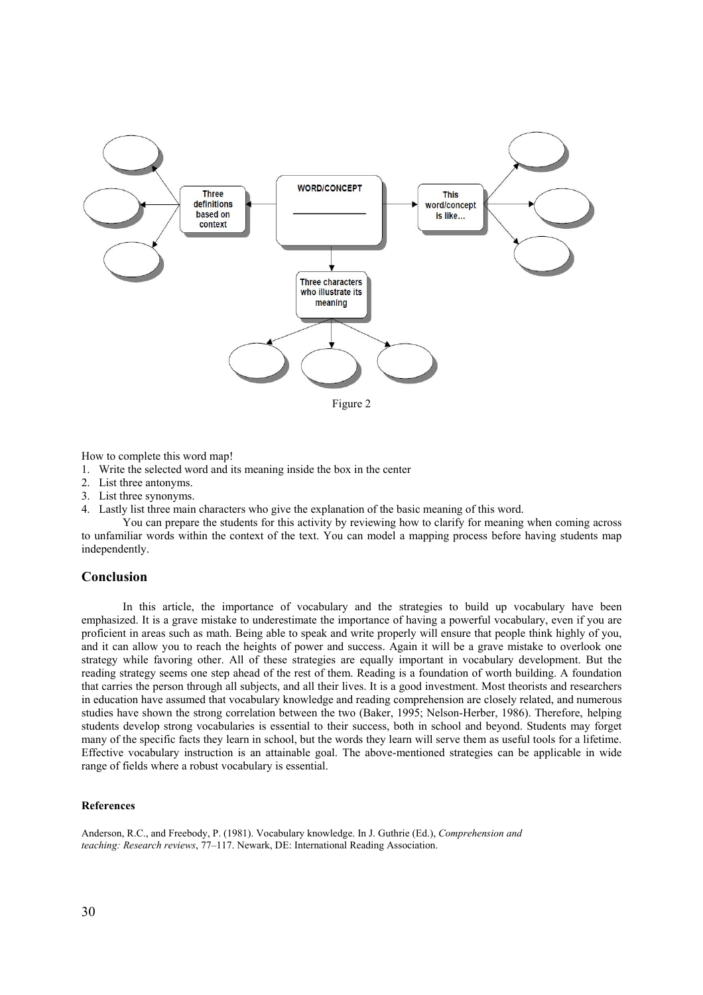

Figure 2

How to complete this word map!

1. Write the selected word and its meaning inside the box in the center

- 2. List three antonyms.
- 3. List three synonyms.
- 4. Lastly list three main characters who give the explanation of the basic meaning of this word.

You can prepare the students for this activity by reviewing how to clarify for meaning when coming across to unfamiliar words within the context of the text. You can model a mapping process before having students map independently.

### **Conclusion**

In this article, the importance of vocabulary and the strategies to build up vocabulary have been emphasized. It is a grave mistake to underestimate the importance of having a powerful vocabulary, even if you are proficient in areas such as math. Being able to speak and write properly will ensure that people think highly of you, and it can allow you to reach the heights of power and success. Again it will be a grave mistake to overlook one strategy while favoring other. All of these strategies are equally important in vocabulary development. But the reading strategy seems one step ahead of the rest of them. Reading is a foundation of worth building. A foundation that carries the person through all subjects, and all their lives. It is a good investment. Most theorists and researchers in education have assumed that vocabulary knowledge and reading comprehension are closely related, and numerous studies have shown the strong correlation between the two (Baker, 1995; Nelson-Herber, 1986). Therefore, helping students develop strong vocabularies is essential to their success, both in school and beyond. Students may forget many of the specific facts they learn in school, but the words they learn will serve them as useful tools for a lifetime. Effective vocabulary instruction is an attainable goal. The above-mentioned strategies can be applicable in wide range of fields where a robust vocabulary is essential.

#### **References**

Anderson, R.C., and Freebody, P. (1981). Vocabulary knowledge. In J. Guthrie (Ed.), *Comprehension and teaching: Research reviews*, 77–117. Newark, DE: International Reading Association.